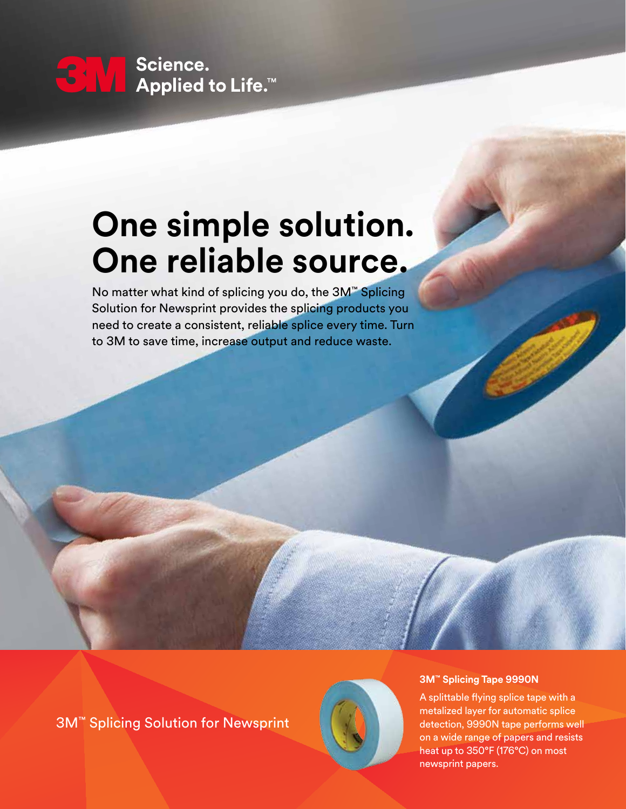### Science.  $\mathbf{C}$   $\mathbf{V}_I$   $\mathbf{V}_I$ Applied to Life.<sup>™</sup>

# **One simple solution. One reliable source.**

No matter what kind of splicing you do, the 3M™ Splicing Solution for Newsprint provides the splicing products you need to create a consistent, reliable splice every time. Turn to 3M to save time, increase output and reduce waste.

3M™ Splicing Solution for Newsprint



### **3M™ Splicing Tape 9990N**

A splittable flying splice tape with a metalized layer for automatic splice detection, 9990N tape performs well on a wide range of papers and resists heat up to 350°F (176°C) on most newsprint papers.